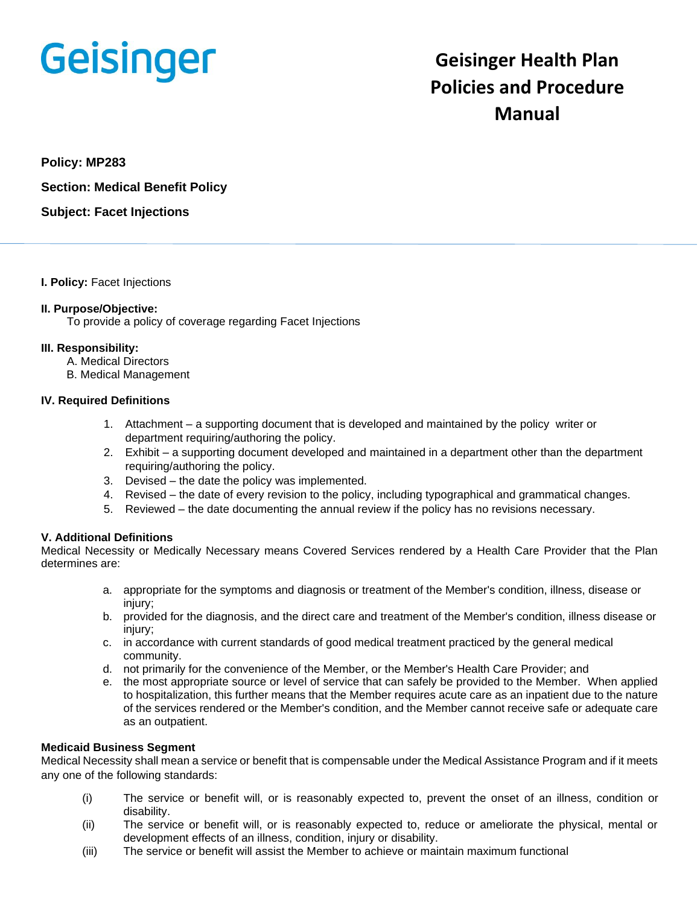# **Geisinger**

# **Geisinger Health Plan Policies and Procedure Manual**

**Policy: MP283**

**Section: Medical Benefit Policy**

**Subject: Facet Injections**

**I. Policy:** Facet Injections

#### **II. Purpose/Objective:**

To provide a policy of coverage regarding Facet Injections

#### **III. Responsibility:**

- A. Medical Directors
- B. Medical Management

#### **IV. Required Definitions**

- 1. Attachment a supporting document that is developed and maintained by the policy writer or department requiring/authoring the policy.
- 2. Exhibit a supporting document developed and maintained in a department other than the department requiring/authoring the policy.
- 3. Devised the date the policy was implemented.
- 4. Revised the date of every revision to the policy, including typographical and grammatical changes.
- 5. Reviewed the date documenting the annual review if the policy has no revisions necessary.

## **V. Additional Definitions**

Medical Necessity or Medically Necessary means Covered Services rendered by a Health Care Provider that the Plan determines are:

- a. appropriate for the symptoms and diagnosis or treatment of the Member's condition, illness, disease or injury;
- b. provided for the diagnosis, and the direct care and treatment of the Member's condition, illness disease or injury;
- c. in accordance with current standards of good medical treatment practiced by the general medical community.
- d. not primarily for the convenience of the Member, or the Member's Health Care Provider; and
- e. the most appropriate source or level of service that can safely be provided to the Member. When applied to hospitalization, this further means that the Member requires acute care as an inpatient due to the nature of the services rendered or the Member's condition, and the Member cannot receive safe or adequate care as an outpatient.

## **Medicaid Business Segment**

Medical Necessity shall mean a service or benefit that is compensable under the Medical Assistance Program and if it meets any one of the following standards:

- (i) The service or benefit will, or is reasonably expected to, prevent the onset of an illness, condition or disability.
- (ii) The service or benefit will, or is reasonably expected to, reduce or ameliorate the physical, mental or development effects of an illness, condition, injury or disability.
- (iii) The service or benefit will assist the Member to achieve or maintain maximum functional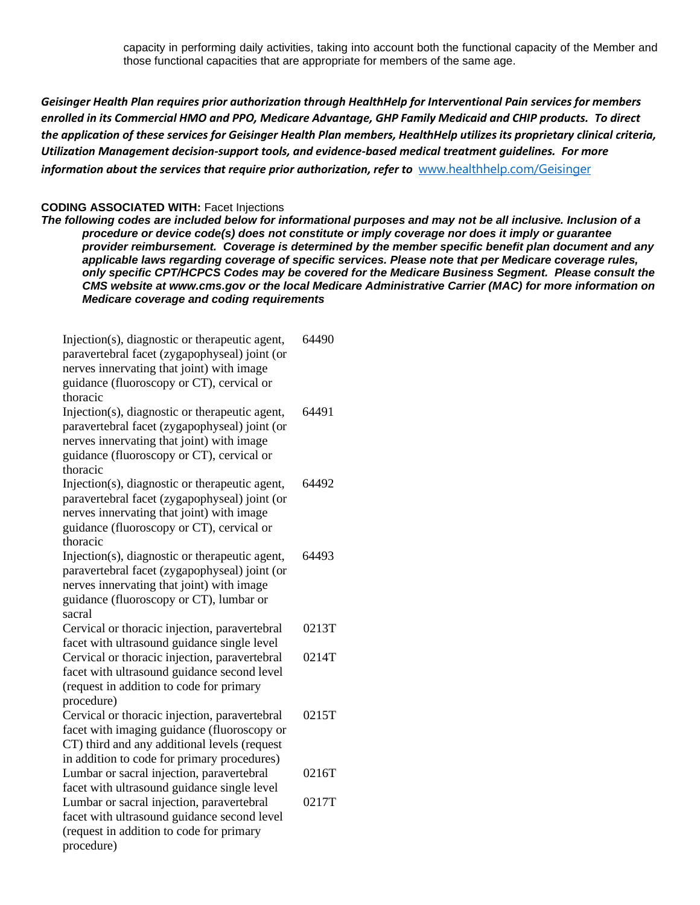capacity in performing daily activities, taking into account both the functional capacity of the Member and those functional capacities that are appropriate for members of the same age.

*Geisinger Health Plan requires prior authorization through HealthHelp for Interventional Pain services for members enrolled in its Commercial HMO and PPO, Medicare Advantage, GHP Family Medicaid and CHIP products. To direct the application of these services for Geisinger Health Plan members, HealthHelp utilizes its proprietary clinical criteria, Utilization Management decision-support tools, and evidence-based medical treatment guidelines. For more information about the services that require prior authorization, refer to* [www.healthhelp.com/Geisinger](http://www.healthhelp.com/Geisinger)

#### **CODING ASSOCIATED WITH:** Facet Injections

*The following codes are included below for informational purposes and may not be all inclusive. Inclusion of a procedure or device code(s) does not constitute or imply coverage nor does it imply or guarantee provider reimbursement. Coverage is determined by the member specific benefit plan document and any applicable laws regarding coverage of specific services. Please note that per Medicare coverage rules, only specific CPT/HCPCS Codes may be covered for the Medicare Business Segment. Please consult the CMS website at www.cms.gov or the local Medicare Administrative Carrier (MAC) for more information on Medicare coverage and coding requirements*

| Injection(s), diagnostic or therapeutic agent,<br>paravertebral facet (zygapophyseal) joint (or<br>nerves innervating that joint) with image<br>guidance (fluoroscopy or CT), cervical or<br>thoracic | 64490 |
|-------------------------------------------------------------------------------------------------------------------------------------------------------------------------------------------------------|-------|
| Injection(s), diagnostic or therapeutic agent,<br>paravertebral facet (zygapophyseal) joint (or<br>nerves innervating that joint) with image<br>guidance (fluoroscopy or CT), cervical or<br>thoracic | 64491 |
| Injection(s), diagnostic or therapeutic agent,<br>paravertebral facet (zygapophyseal) joint (or<br>nerves innervating that joint) with image<br>guidance (fluoroscopy or CT), cervical or<br>thoracic | 64492 |
| Injection(s), diagnostic or therapeutic agent,<br>paravertebral facet (zygapophyseal) joint (or<br>nerves innervating that joint) with image<br>guidance (fluoroscopy or CT), lumbar or<br>sacral     | 64493 |
| Cervical or thoracic injection, paravertebral                                                                                                                                                         | 0213T |
| facet with ultrasound guidance single level                                                                                                                                                           |       |
| Cervical or thoracic injection, paravertebral<br>facet with ultrasound guidance second level<br>(request in addition to code for primary<br>procedure)                                                | 0214T |
| Cervical or thoracic injection, paravertebral                                                                                                                                                         | 0215T |
| facet with imaging guidance (fluoroscopy or<br>CT) third and any additional levels (request                                                                                                           |       |
| in addition to code for primary procedures)                                                                                                                                                           |       |
| Lumbar or sacral injection, paravertebral                                                                                                                                                             | 0216T |
| facet with ultrasound guidance single level<br>Lumbar or sacral injection, paravertebral                                                                                                              | 0217T |
| facet with ultrasound guidance second level                                                                                                                                                           |       |
| (request in addition to code for primary                                                                                                                                                              |       |
| procedure)                                                                                                                                                                                            |       |